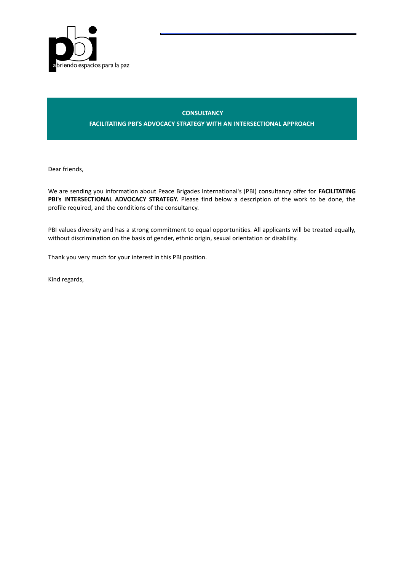

# **CONSULTANCY**

**FACILITATING PBI'S ADVOCACY STRATEGY WITH AN INTERSECTIONAL APPROACH**

Dear friends,

We are sending you information about Peace Brigades International's (PBI) consultancy offer for **FACILITATING PBI's INTERSECTIONAL ADVOCACY STRATEGY.** Please find below a description of the work to be done, the profile required, and the conditions of the consultancy.

PBI values diversity and has a strong commitment to equal opportunities. All applicants will be treated equally, without discrimination on the basis of gender, ethnic origin, sexual orientation or disability.

Thank you very much for your interest in this PBI position.

Kind regards,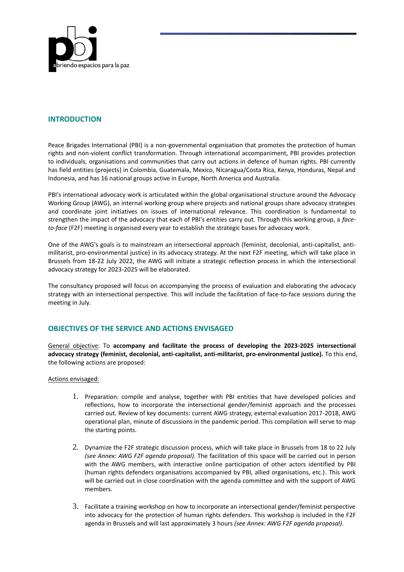

# **INTRODUCTION**

Peace Brigades International (PBI) is a non-governmental organisation that promotes the protection of human rights and non-violent conflict transformation. Through international accompaniment, PBI provides protection to individuals, organisations and communities that carry out actions in defence of human rights. PBI currently has field entities (projects) in Colombia, Guatemala, Mexico, Nicaragua/Costa Rica, Kenya, Honduras, Nepal and Indonesia, and has 16 national groups active in Europe, North America and Australia.

PBI's international advocacy work is articulated within the global organisational structure around the Advocacy Working Group (AWG), an internal working group where projects and national groups share advocacy strategies and coordinate joint initiatives on issues of international relevance. This coordination is fundamental to strengthen the impact of the advocacy that each of PBI's entities carry out. Through this working group, a *faceto-face* (F2F) meeting is organised every year to establish the strategic bases for advocacy work.

One of the AWG's goals is to mainstream an intersectional approach (feminist, decolonial, anti-capitalist, antimilitarist, pro-environmental justice) in its advocacy strategy. At the next F2F meeting, which will take place in Brussels from 18-22 July 2022, the AWG will initiate a strategic reflection process in which the intersectional advocacy strategy for 2023-2025 will be elaborated.

The consultancy proposed will focus on accompanying the process of evaluation and elaborating the advocacy strategy with an intersectional perspective. This will include the facilitation of face-to-face sessions during the meeting in July.

# **OBJECTIVES OF THE SERVICE AND ACTIONS ENVISAGED**

General objective: To **accompany and facilitate the process of developing the 2023-2025 intersectional advocacy strategy (feminist, decolonial, anti-capitalist, anti-militarist, pro-environmental justice).** To this end, the following actions are proposed:

## Actions envisaged:

- 1. Preparation: compile and analyse, together with PBI entities that have developed policies and reflections, how to incorporate the intersectional gender/feminist approach and the processes carried out. Review of key documents: current AWG strategy, external evaluation 2017-2018, AWG operational plan, minute of discussions in the pandemic period. This compilation will serve to map the starting points.
- 2. Dynamize the F2F strategic discussion process, which will take place in Brussels from 18 to 22 July *(see Annex: AWG F2F agenda proposal)*. The facilitation of this space will be carried out in person with the AWG members, with interactive online participation of other actors identified by PBI (human rights defenders organisations accompanied by PBI, allied organisations, etc.). This work will be carried out in close coordination with the agenda committee and with the support of AWG members.
- 3. Facilitate a training workshop on how to incorporate an intersectional gender/feminist perspective into advocacy for the protection of human rights defenders. This workshop is included in the F2F agenda in Brussels and will last approximately 3 hours *(see Annex: AWG F2F agenda proposal)*.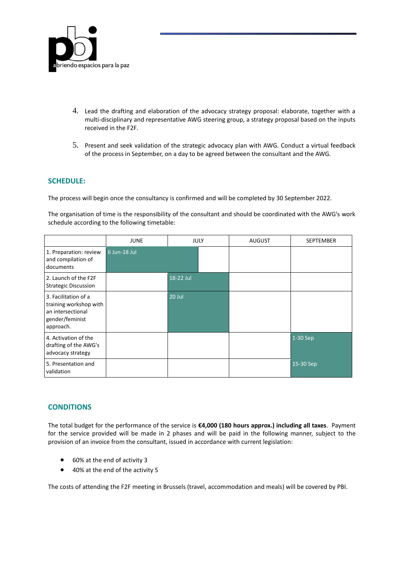

- 4. Lead the drafting and elaboration of the advocacy strategy proposal: elaborate, together with a multi-disciplinary and representative AWG steering group, a strategy proposal based on the inputs received in the F2F.
- 5. Present and seek validation of the strategic advocacy plan with AWG. Conduct a virtual feedback of the process in September, on a day to be agreed between the consultant and the AWG.

# **SCHEDULE:**

The process will begin once the consultancy is confirmed and will be completed by 30 September 2022.

The organisation of time is the responsibility of the consultant and should be coordinated with the AWG's work schedule according to the following timetable:

|                                                                                                     | <b>JUNE</b>  | <b>JULY</b> | <b>AUGUST</b> | SEPTEMBER |
|-----------------------------------------------------------------------------------------------------|--------------|-------------|---------------|-----------|
| 1. Preparation: review<br>and compilation of<br>documents                                           | 6 Jun-18 Jul |             |               |           |
| 2. Launch of the F2F<br><b>Strategic Discussion</b>                                                 |              | 18-22 Jul   |               |           |
| 3. Facilitation of a<br>training workshop with<br>an intersectional<br>gender/feminist<br>approach. |              | 20 Jul      |               |           |
| 4. Activation of the<br>drafting of the AWG's<br>advocacy strategy                                  |              |             |               | 1-30 Sep  |
| 5. Presentation and<br>validation                                                                   |              |             |               | 15-30 Sep |

# **CONDITIONS**

The total budget for the performance of the service is **€4,000 (180 hours approx.) including all taxes**. Payment for the service provided will be made in 2 phases and will be paid in the following manner, subject to the provision of an invoice from the consultant, issued in accordance with current legislation:

- 60% at the end of activity 3
- 40% at the end of the activity 5

The costs of attending the F2F meeting in Brussels (travel, accommodation and meals) will be covered by PBI.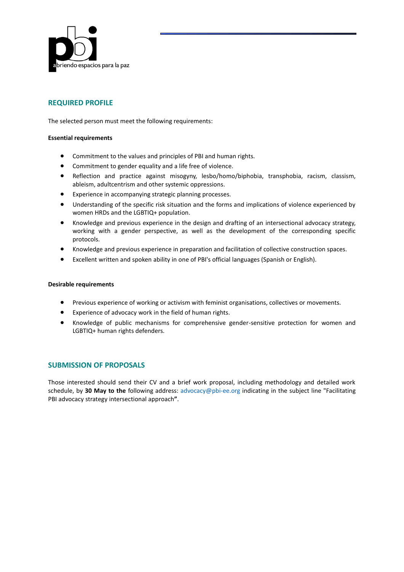

# **REQUIRED PROFILE**

The selected person must meet the following requirements:

### **Essential requirements**

- Commitment to the values and principles of PBI and human rights.
- Commitment to gender equality and a life free of violence.
- Reflection and practice against misogyny, lesbo/homo/biphobia, transphobia, racism, classism, ableism, adultcentrism and other systemic oppressions.
- Experience in accompanying strategic planning processes.
- Understanding of the specific risk situation and the forms and implications of violence experienced by women HRDs and the LGBTIQ+ population.
- Knowledge and previous experience in the design and drafting of an intersectional advocacy strategy, working with a gender perspective, as well as the development of the corresponding specific protocols.
- Knowledge and previous experience in preparation and facilitation of collective construction spaces.
- Excellent written and spoken ability in one of PBI's official languages (Spanish or English).

#### **Desirable requirements**

- Previous experience of working or activism with feminist organisations, collectives or movements.
- Experience of advocacy work in the field of human rights.
- Knowledge of public mechanisms for comprehensive gender-sensitive protection for women and LGBTIQ+ human rights defenders.

# **SUBMISSION OF PROPOSALS**

Those interested should send their CV and a brief work proposal, including methodology and detailed work schedule, by **30 May to the** following address: advocacy@pbi-ee.org indicating in the subject line "Facilitating PBI advocacy strategy intersectional approach**"**.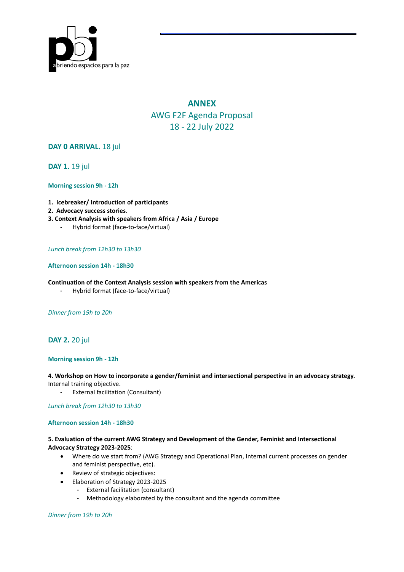

# **ANNEX** AWG F2F Agenda Proposal 18 - 22 July 2022

# **DAY 0 ARRIVAL.** 18 jul

**DAY 1.** 19 jul

## **Morning session 9h - 12h**

- **1. Icebreaker/ Introduction of participants**
- **2. Advocacy success stories**.
- **3. Context Analysis with speakers from Africa / Asia / Europe**
	- Hybrid format (face-to-face/virtual)

## *Lunch break from 12h30 to 13h30*

## **Afternoon session 14h - 18h30**

#### **Continuation of the Context Analysis session with speakers from the Americas**

- Hybrid format (face-to-face/virtual)

*Dinner from 19h to 20h* 

# **DAY 2.** 20 jul

## **Morning session 9h - 12h**

## **4. Workshop on How to incorporate a gender/feminist and intersectional perspective in an advocacy strategy.**  Internal training objective.

**External facilitation (Consultant)** 

### *Lunch break from 12h30 to 13h30*

## **Afternoon session 14h - 18h30**

## **5. Evaluation of the current AWG Strategy and Development of the Gender, Feminist and Intersectional Advocacy Strategy 2023-2025**:

- Where do we start from? (AWG Strategy and Operational Plan, Internal current processes on gender and feminist perspective, etc).
- Review of strategic objectives:
- Elaboration of Strategy 2023-2025
	- External facilitation (consultant)
	- Methodology elaborated by the consultant and the agenda committee

*Dinner from 19h to 20h*